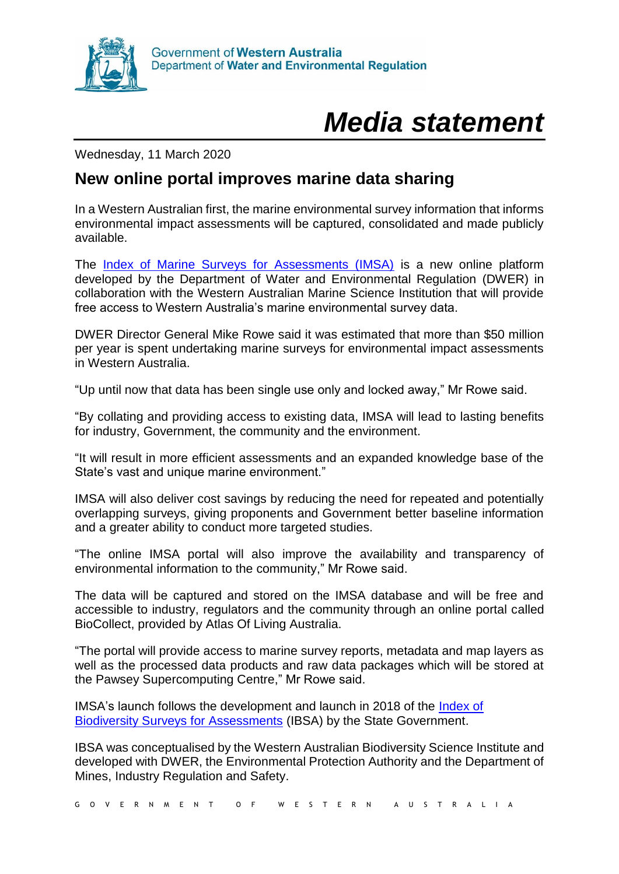

## *Media statement*

Wednesday, 11 March 2020

## **New online portal improves marine data sharing**

In a Western Australian first, the marine environmental survey information that informs environmental impact assessments will be captured, consolidated and made publicly available.

The [Index of Marine Surveys for Assessments \(IMSA\)](https://www.dwer.wa.gov.au/imsa) is a new online platform developed by the Department of Water and Environmental Regulation (DWER) in collaboration with the Western Australian Marine Science Institution that will provide free access to Western Australia's marine environmental survey data.

DWER Director General Mike Rowe said it was estimated that more than \$50 million per year is spent undertaking marine surveys for environmental impact assessments in Western Australia.

"Up until now that data has been single use only and locked away," Mr Rowe said.

"By collating and providing access to existing data, IMSA will lead to lasting benefits for industry, Government, the community and the environment.

"It will result in more efficient assessments and an expanded knowledge base of the State's vast and unique marine environment."

IMSA will also deliver cost savings by reducing the need for repeated and potentially overlapping surveys, giving proponents and Government better baseline information and a greater ability to conduct more targeted studies.

"The online IMSA portal will also improve the availability and transparency of environmental information to the community," Mr Rowe said.

The data will be captured and stored on the IMSA database and will be free and accessible to industry, regulators and the community through an online portal called BioCollect, provided by Atlas Of Living Australia.

"The portal will provide access to marine survey reports, metadata and map layers as well as the processed data products and raw data packages which will be stored at the Pawsey Supercomputing Centre," Mr Rowe said.

IMSA's launch follows the development and launch in 2018 of the [Index of](https://www.dwer.wa.gov.au/programs/ibsa)  [Biodiversity Surveys for Assessments](https://www.dwer.wa.gov.au/programs/ibsa) (IBSA) by the State Government.

IBSA was conceptualised by the Western Australian Biodiversity Science Institute and developed with DWER, the Environmental Protection Authority and the Department of Mines, Industry Regulation and Safety.

G O V E R N M E N T O F W E S T E R N A U S T R A L I A